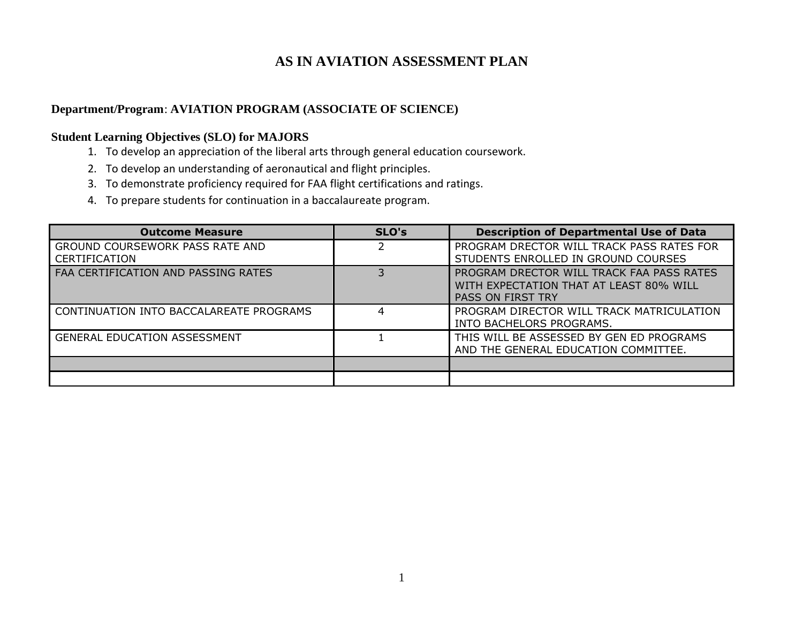## **AS IN AVIATION ASSESSMENT PLAN**

## **Department/Program**: **AVIATION PROGRAM (ASSOCIATE OF SCIENCE)**

## **Student Learning Objectives (SLO) for MAJORS**

- 1. To develop an appreciation of the liberal arts through general education coursework.
- 2. To develop an understanding of aeronautical and flight principles.
- 3. To demonstrate proficiency required for FAA flight certifications and ratings.
- 4. To prepare students for continuation in a baccalaureate program.

| <b>Outcome Measure</b>                                  | SLO's | <b>Description of Departmental Use of Data</b>                                                                   |
|---------------------------------------------------------|-------|------------------------------------------------------------------------------------------------------------------|
| GROUND COURSEWORK PASS RATE AND<br><b>CERTIFICATION</b> |       | PROGRAM DRECTOR WILL TRACK PASS RATES FOR<br>STUDENTS ENROLLED IN GROUND COURSES                                 |
| FAA CERTIFICATION AND PASSING RATES                     |       | PROGRAM DRECTOR WILL TRACK FAA PASS RATES<br>WITH EXPECTATION THAT AT LEAST 80% WILL<br><b>PASS ON FIRST TRY</b> |
| CONTINUATION INTO BACCALAREATE PROGRAMS                 | 4     | PROGRAM DIRECTOR WILL TRACK MATRICULATION<br>INTO BACHELORS PROGRAMS.                                            |
| <b>GENERAL EDUCATION ASSESSMENT</b>                     |       | THIS WILL BE ASSESSED BY GEN ED PROGRAMS<br>AND THE GENERAL EDUCATION COMMITTEE.                                 |
|                                                         |       |                                                                                                                  |
|                                                         |       |                                                                                                                  |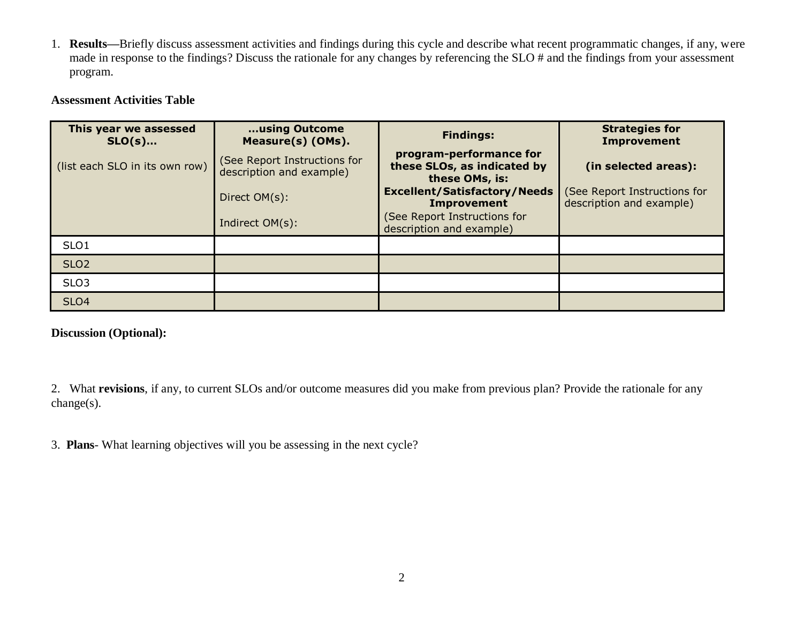1. **Results—**Briefly discuss assessment activities and findings during this cycle and describe what recent programmatic changes, if any, were made in response to the findings? Discuss the rationale for any changes by referencing the SLO # and the findings from your assessment program.

## **Assessment Activities Table**

| This year we assessed<br>$SLO(s)$ | using Outcome<br>Measure(s) (OMs).                       | <b>Findings:</b>                                                         | <b>Strategies for</b><br><b>Improvement</b>              |
|-----------------------------------|----------------------------------------------------------|--------------------------------------------------------------------------|----------------------------------------------------------|
| (list each SLO in its own row)    | (See Report Instructions for<br>description and example) | program-performance for<br>these SLOs, as indicated by<br>these OMs, is: | (in selected areas):                                     |
|                                   | Direct OM(s):                                            | <b>Excellent/Satisfactory/Needs</b><br><b>Improvement</b>                | (See Report Instructions for<br>description and example) |
|                                   | Indirect OM(s):                                          | (See Report Instructions for<br>description and example)                 |                                                          |
| SLO <sub>1</sub>                  |                                                          |                                                                          |                                                          |
| SLO <sub>2</sub>                  |                                                          |                                                                          |                                                          |
| SLO <sub>3</sub>                  |                                                          |                                                                          |                                                          |
| <b>SLO4</b>                       |                                                          |                                                                          |                                                          |

**Discussion (Optional):** 

2. What **revisions**, if any, to current SLOs and/or outcome measures did you make from previous plan? Provide the rationale for any change(s).

3. **Plans**- What learning objectives will you be assessing in the next cycle?